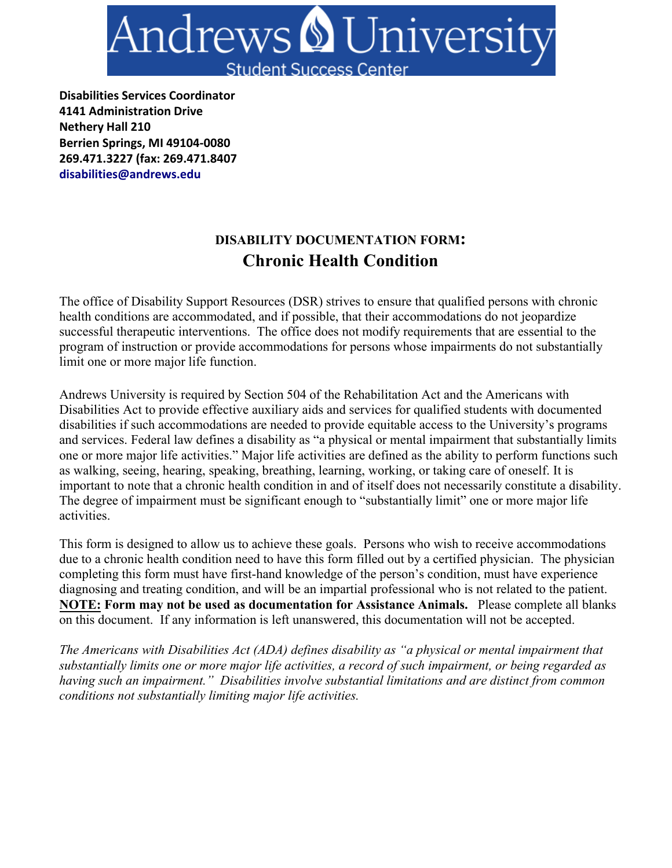

**Disabilities Services Coordinator 4141 Administration Drive Nethery Hall 210 Berrien Springs, MI 49104-0080 269.471.3227 (fax: 269.471.8407 disabilities@andrews.edu**

# **DISABILITY DOCUMENTATION FORM: Chronic Health Condition**

The office of Disability Support Resources (DSR) strives to ensure that qualified persons with chronic health conditions are accommodated, and if possible, that their accommodations do not jeopardize successful therapeutic interventions. The office does not modify requirements that are essential to the program of instruction or provide accommodations for persons whose impairments do not substantially limit one or more major life function.

Andrews University is required by Section 504 of the Rehabilitation Act and the Americans with Disabilities Act to provide effective auxiliary aids and services for qualified students with documented disabilities if such accommodations are needed to provide equitable access to the University's programs and services. Federal law defines a disability as "a physical or mental impairment that substantially limits one or more major life activities." Major life activities are defined as the ability to perform functions such as walking, seeing, hearing, speaking, breathing, learning, working, or taking care of oneself. It is important to note that a chronic health condition in and of itself does not necessarily constitute a disability. The degree of impairment must be significant enough to "substantially limit" one or more major life activities.

This form is designed to allow us to achieve these goals. Persons who wish to receive accommodations due to a chronic health condition need to have this form filled out by a certified physician. The physician completing this form must have first-hand knowledge of the person's condition, must have experience diagnosing and treating condition, and will be an impartial professional who is not related to the patient. **NOTE: Form may not be used as documentation for Assistance Animals.** Please complete all blanks on this document. If any information is left unanswered, this documentation will not be accepted.

*The Americans with Disabilities Act (ADA) defines disability as "a physical or mental impairment that substantially limits one or more major life activities, a record of such impairment, or being regarded as having such an impairment." Disabilities involve substantial limitations and are distinct from common conditions not substantially limiting major life activities.*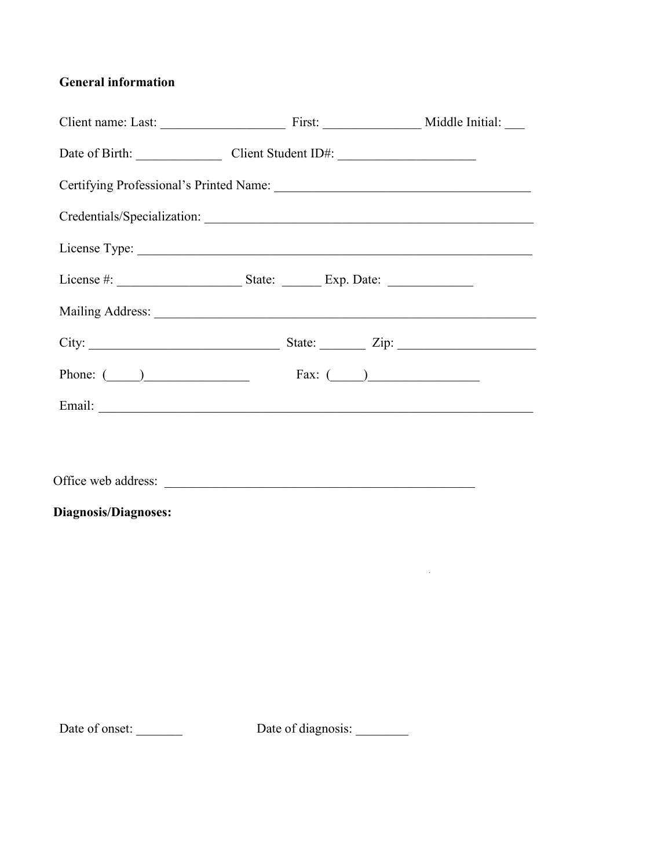## **General information**

|                     | Date of Birth: Client Student ID#:          |  |  |  |
|---------------------|---------------------------------------------|--|--|--|
|                     |                                             |  |  |  |
|                     | Credentials/Specialization:                 |  |  |  |
|                     |                                             |  |  |  |
|                     |                                             |  |  |  |
|                     |                                             |  |  |  |
|                     |                                             |  |  |  |
|                     | Phone: $\qquad \qquad$ Fax: $\qquad \qquad$ |  |  |  |
|                     |                                             |  |  |  |
|                     |                                             |  |  |  |
| Office web address: |                                             |  |  |  |

## **Diagnosis/Diagnoses:**

Date of onset: \_\_\_\_\_\_\_\_ Date of diagnosis: \_\_\_\_\_\_\_

 $\mathcal{L}^{\text{max}}_{\text{max}}$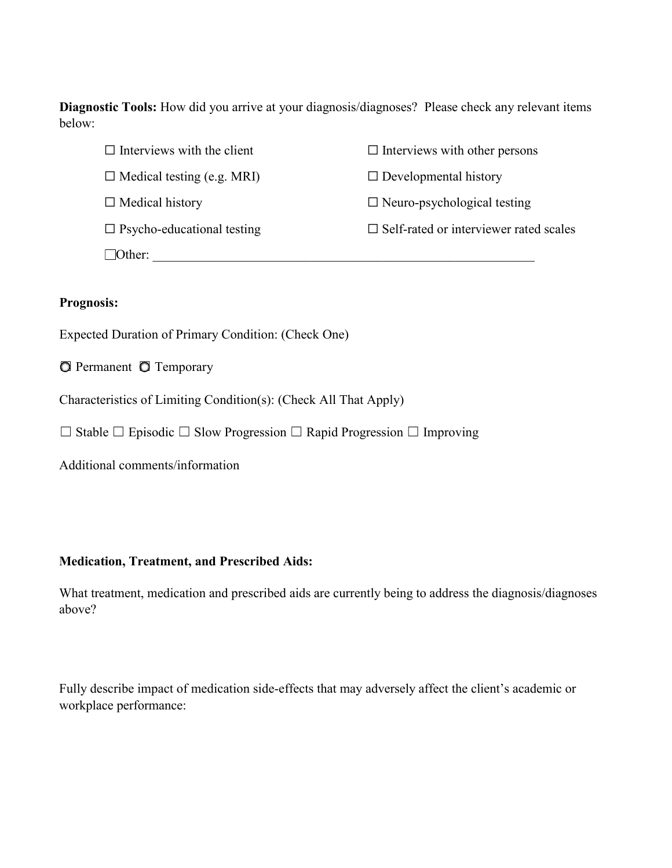**Diagnostic Tools:** How did you arrive at your diagnosis/diagnoses? Please check any relevant items below:

| $\Box$ Interviews with the client | $\Box$ Interviews with other persons             |
|-----------------------------------|--------------------------------------------------|
| $\Box$ Medical testing (e.g. MRI) | $\Box$ Developmental history                     |
| $\Box$ Medical history            | $\Box$ Neuro-psychological testing               |
| $\Box$ Psycho-educational testing | $\square$ Self-rated or interviewer rated scales |
| $\Box$ Other:                     |                                                  |

### **Prognosis:**

Expected Duration of Primary Condition: (Check One)

☐ Permanent ☐ Temporary

Characteristics of Limiting Condition(s): (Check All That Apply)

☐ Stable ☐ Episodic ☐ Slow Progression ☐ Rapid Progression ☐ Improving

Additional comments/information

#### **Medication, Treatment, and Prescribed Aids:**

What treatment, medication and prescribed aids are currently being to address the diagnosis/diagnoses above?

Fully describe impact of medication side-effects that may adversely affect the client's academic or workplace performance: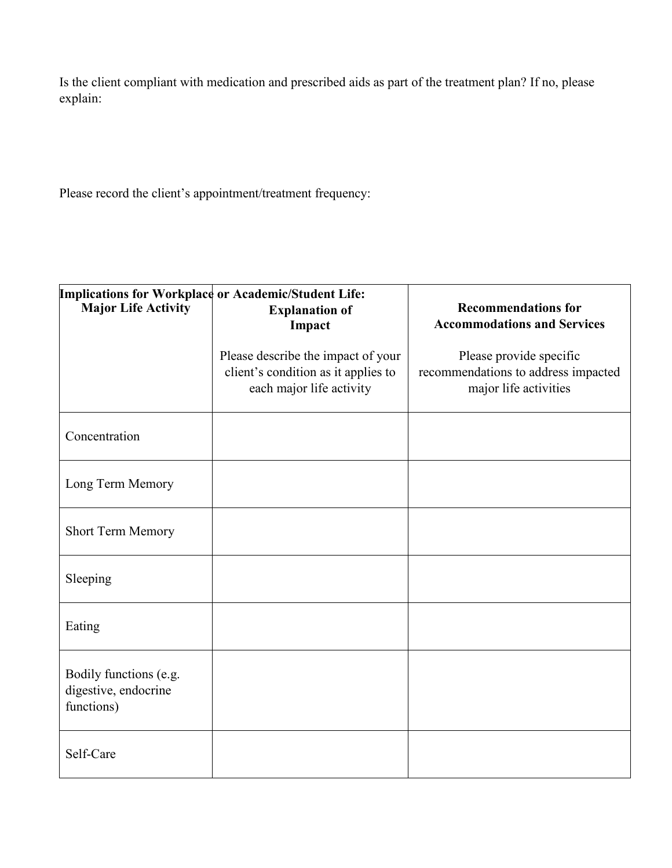Is the client compliant with medication and prescribed aids as part of the treatment plan? If no, please explain:

Please record the client's appointment/treatment frequency:

| <b>Implications for Workplace or Academic/Student Life:</b>  |                                                                                                       |                                                                                         |
|--------------------------------------------------------------|-------------------------------------------------------------------------------------------------------|-----------------------------------------------------------------------------------------|
| <b>Major Life Activity</b>                                   | <b>Explanation of</b><br>Impact                                                                       | <b>Recommendations for</b><br><b>Accommodations and Services</b>                        |
|                                                              | Please describe the impact of your<br>client's condition as it applies to<br>each major life activity | Please provide specific<br>recommendations to address impacted<br>major life activities |
| Concentration                                                |                                                                                                       |                                                                                         |
| Long Term Memory                                             |                                                                                                       |                                                                                         |
| Short Term Memory                                            |                                                                                                       |                                                                                         |
| Sleeping                                                     |                                                                                                       |                                                                                         |
| Eating                                                       |                                                                                                       |                                                                                         |
| Bodily functions (e.g.<br>digestive, endocrine<br>functions) |                                                                                                       |                                                                                         |
| Self-Care                                                    |                                                                                                       |                                                                                         |